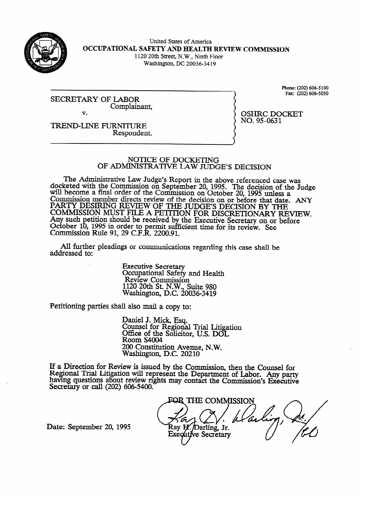

## United States of America **OCCUPATIONAL SAFETY AND EIEALTH REVDEW COMRlISSION**  1120 20th Street, N.W., Ninth Floor

 $W$ ashington, DC 20030-3417

SECRETARY OF LABOR<br>Complainant.  $\overline{\phantom{a}}$  $\overline{\mathbf{v}}$ 

Phone: (202) 606-5100<br>Fax: (202) 606-5050

**OSHRC DOCKET** 

 $\frac{1}{2}$ 

**TREND-LINE FURNITURE** Respondent. Respondent.

#### NOTICE OF DOCKETING OF ADMINISTRATIVE LAW JUDGE'S DECISION

OF ADMINISTRATIVE L4W **JUDGE'S DECISION**  reted with the Commission on September 20, 1995. The decision of the June WIII become a final order of the Commission on October 20, 1995 unless a Commission member directs review of the decision on or before that date.<br>DA DTV DESIDDIC DEVIEW OF THE HIDGES DEGISION BY THE PART I DESIRING REVIEW OF THE JUDGE'S DECISION BY THE<br>COMMISSION MUST EILE A DETERON FOR DISCRETIONARY DELETIC COMMISSION MUST FILE A PETITION FOR DISCRETIONARY RE Any such pennon should be received by the Executive Secretary on or before  $\Omega_{\text{c}}$ October 10, 1995 in order to permit surficient time for its review. See<br>Commission Rule 01, 20 C E R, 2200.01 COMMISSION KUIC 91, 29 C.F.K.  $2200.91$ .

All further pleadings or communications regarding this case shall be  $A = \frac{1}{2}$ 

> **Executive Secretary** Occupational Safety and Health<br>Review Commission  $1120$  20th St. N.W., Suite 980 Nashington, D.C. 200 1120 20th St. N.W., Suite 980

Petitioning parties shall also mail a copy to:

Daniel J. Mick, Esq. Office of the Solicito  $\text{Room }S4004$  and  $\text{Cov}_{S}$  at  $\text{Cov}_{S}$  and  $\text{Cov}_{S}$  at  $\text{Cov}_{S}$  at  $\text{Cov}_{S}$  and  $\text{Cov}_{S}$  at  $\text{Cov}_{S}$  and  $\text{Cov}_{S}$  and  $\text{Cov}_{S}$  and  $\text{Cov}_{S}$  and  $\text{Cov}_{S}$  and  $\text{Cov}_{S}$  and  $\text{Cov}_{S}$  and  $\text{Cov}_{S}$  an  $200$  Constitution Avenue, N.W. Washington, D.C. 20210

 $200$  constitution  $21$ ,  $4$ ,  $2$  $\text{few}$  is issued by the Com Regional Trial Litigation will represent the Department of Labor. Any party having questions about review rights may contact the Commission's Executive Secretary or call  $(202)$  606-5400.

harvlng questions about review rrghts may contact the **Commission's Executive**  Ray H. Darling, Jr. Executive Secretary

Date: September 20, 1995

addressed to: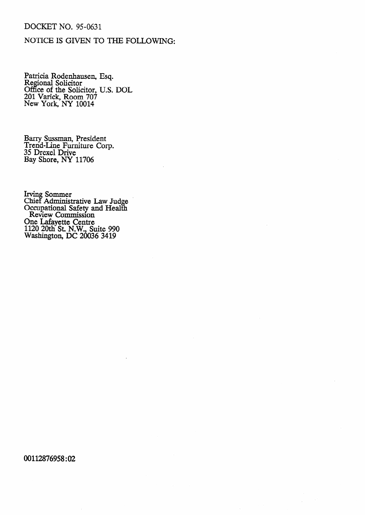## **DOCKET NO. 95-0631**

## NOTICE **IS GIVEN** TO THE FOLLOWING:

Patricia Rodenhausen, Esq. Regional Solicitor Office of the Solicitor, U.S. DOL 201 Varick, Room 707 New York, NY 10014

Barry Sussman, President Trend-Line Furniture Corp. **35** Drexel Drive Bay Shore, NY 11706

Irving Sommer Chief Administrative Law Judge Occupational Safety and Health Review Commission One Lafayette Centre 1120 20th St. N.W., Suite 990 Washington, DC 20036 **3419** 

### 00112876958:02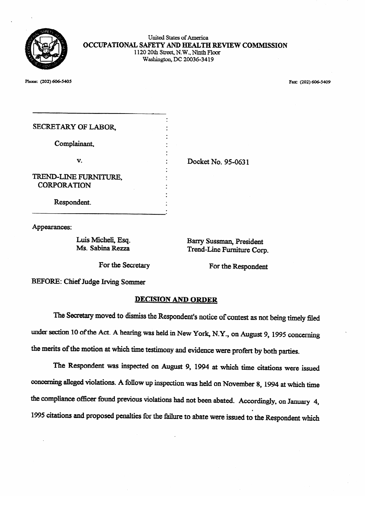

United States of America **OCCUPATIONAL SAFETY AND HEALTH REVIEW COMMISSION**  1120 20th Street, N.W., Ninth Floor Washington, DC 20036-3419

 $\mathcal{P}$ 

| SECRETARY OF LABOR,                         |                    |
|---------------------------------------------|--------------------|
| Complainant,                                |                    |
| v.                                          | Docket No. 95-0631 |
| TREND-LINE FURNITURE.<br><b>CORPORATION</b> |                    |
| Respondent.                                 |                    |

Appearances:

Luis Micheli, Esq. **Ms.** Sabina Rezza

Ms. SabhaReza

Trend-Line Furniture Corp. Trend-Line Furniture Corp.

Barry Sussman, President

BEFORE: Chief Judge Irving Sommer

# BEFORE: Chief Judge Irving Sommer

.

The Secretary moved to dismiss the Respondent's notice of contest as not being timely filed under section 10 of the Act. A hearing was held in New York, N.Y., on August 9, 1995 concerning the merits of the motion at which time testimony and evidence were profert by both parties.

The Respondent was inspected on August 9, 1994 at which time citations were issued concerning alleged violations. A follow up inspection was held on November 8, 1994 at which time the compliance officer found previous violations had not been abated. Accordingly, on January 4, 1995 citations and proposed penalties for the failure to abate were issued to the Respondent which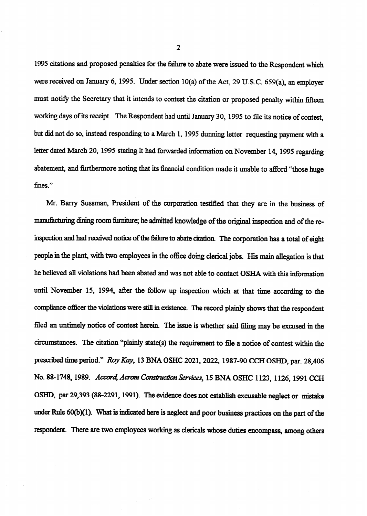1995 citations and proposed penalties for the failure to abate were issued to the Respondent which were received on January 6, 1995. Under section  $10(a)$  of the Act, 29 U.S.C. 659(a), an employer must notify the Secretary that it intends to contest the citation or proposed penalty within fifteen working days of its receipt. The Respondent had until January 30, 1995 to file its notice of contest, but did not do so, instead responding to a March 1, 1995 dunning letter requesting payment with a letter dated March 20,1995 stating it had forwarded information on November 14,1995 regarding abatement, and furthermore noting that its financial condition made it unable to afford "those hugefines."

Mr. Barry Sussman, President of the corporation testified that they are in the business of manufacturing dining room furniture; he admitted knowledge of the original inspection and of the reinspection and had received notice of the failure to abate citation. The corporation has a total of eight people in the plank with two employees in the office doing clerical jobs. His main allegation is that he believed all violations had been abated and was not able to contact OSHA with this information until November 15, 1994, after the follow up inspection which at that time according to the compliance officer the violations were still in existence. The record plainly shows that the respondent filed an untimely notice of contest herein. The issue is whether said filing may be excused in the circumstances. The citation "plainly state(s) the requirement to file a notice of contest within the prescribed time period." Roy Kay, 13 BNA OSHC 2021, 2022, 1987-90 CCH OSHD, par. 28,406 No. 88-1748, 1989. *Accord, Acrom Construction Services*, 15 BNA OSHC 1123, 1126, 1991 CCH OSHD, par 29,393 (88-22291,199l). The evidence does not establish excusable neglect or mistake under Rule  $60(b)(1)$ . What is indicated here is neglect and poor business practices on the part of the respondent. There are two employees working as clericals whose duties encompass, among others

2